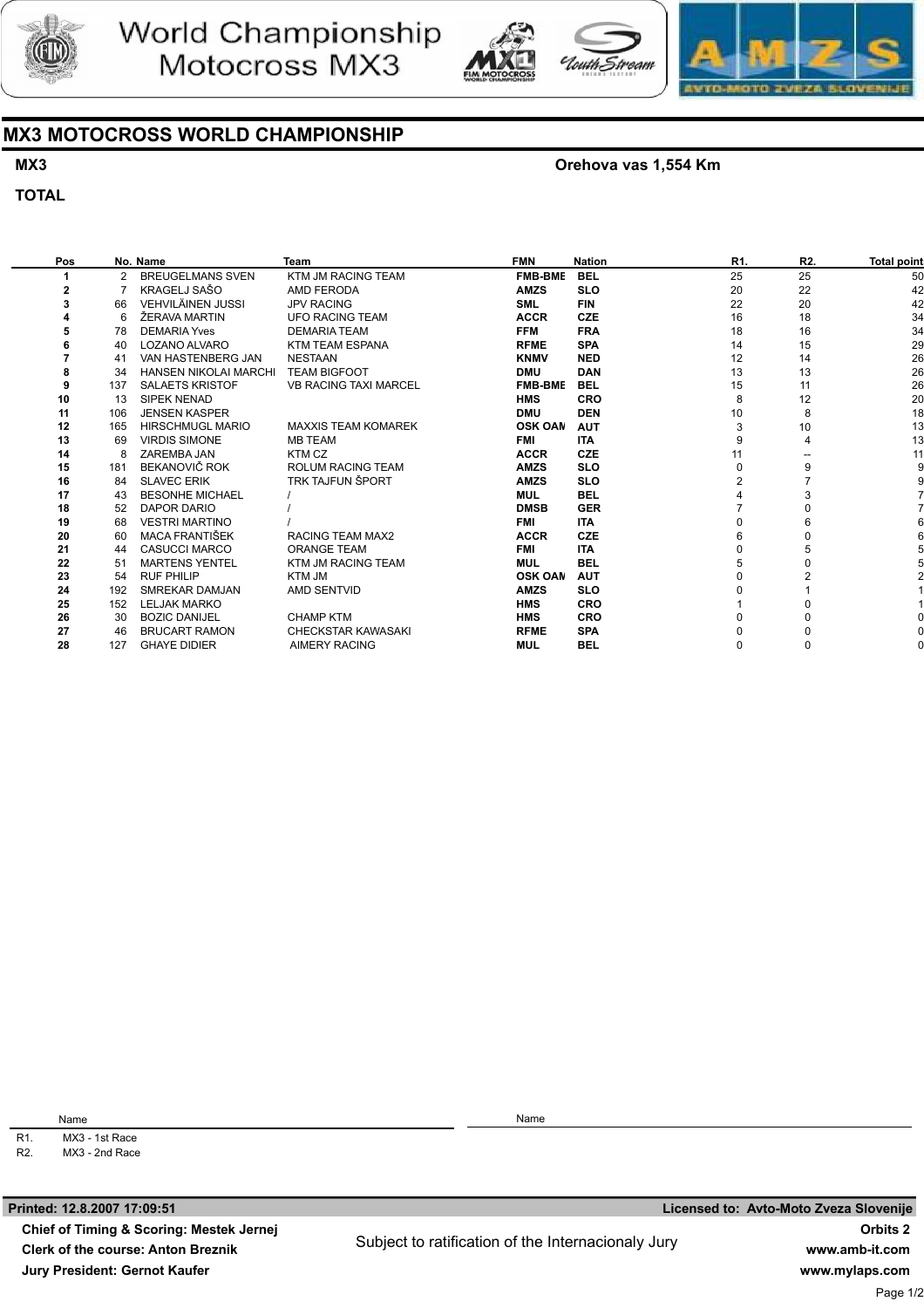





## MX3 MOTOCROSS WORLD CHAMPIONSHIP

## MX3

**TOTAL** 

#### Orehova vas 1,554 Km

uth Stroam

#### Pos 1 2 3 4 5 6 7 8 9 10 11 12 13 14 15 16 17 18 19 20 21 22 23 24 25 26 27 No. Name 2 7 66 6 78 40 41 34 137 13 106 165 69 8 181 84 43 52 68 60 44 51 54 192 152 30 46 BREUGELMANS SVEN KRAGELJ SAŠO VEHVILÄINEN JUSSI ŽERAVA MARTIN DEMARIA Yves LOZANO ALVARO VAN HASTENBERG JAN HANSEN NIKOLAI MARCHI SALAETS KRISTOF SIPEK NENAD JENSEN KASPER HIRSCHMUGL MARIO VIRDIS SIMONE ZAREMBA JAN BEKANOVIČ ROK SLAVEC ERIK BESONHE MICHAEL DAPOR DARIO VESTRI MARTINO MACA FRANTIŠEK CASUCCI MARCO MARTENS YENTEL RUF PHILIP SMREKAR DAMJAN LELJAK MARKO BOZIC DANIJEL BRUCART RAMON Team KTM JM RACING TEAM AMD FERODA JPV RACING UFO RACING TEAM DEMARIA TEAM KTM TEAM ESPANA NESTAAN TEAM BIGFOOT VB RACING TAXI MARCEL MAXXIS TEAM KOMAREK MB TEAM KTM CZ ROLUM RACING TEAM TRK TAJFUN ŠPORT / / / RACING TEAM MAX2 ORANGE TEAM KTM JM RACING TEAM KTM JM AMD SENTVID CHAMP KTM CHECKSTAR KAWASAKI FMN FMB-BMB AMZS SML **ACCR** FFM RFME KNMV DMU FMB-BMB HMS DMU OSK OAM FMI **ACCR** AMZS AMZS MUL DMSB FMI ACCR FMI MUL OSK OAN AMZS HMS HMS RFME Nation **BEL** SLO FIN **CZE** FRA SPA NED **DAN** BEL CRO DEN AUT ITA **CZE** SLO SLO BEL GER ITA **CZE** ITA BEL AUT SLO **CRO** CRO SPA R1. 25 20  $22$ 16 18 14 12 13 15 8 10 3 9 11  $\overline{0}$ 2 4 7 0 6 0 5  $\Omega$  $\overline{0}$ 1 0  $\overline{0}$ R2. 25 22 20 18 16 15 14 13 11 12 8 10 4 -- 9 7 3 0 6 0 5 0 2 1 0 0  $\overline{0}$

AIMERY RACING

R1. Name MX3 - 1st Race

28

127

GHAYE DIDIER

R2. MX3 - 2nd Race

Printed: 12.8.2007 17:09:51

Chief of Timing & Scoring: Mestek Jernej Clerk of the course: Anton Breznik Jury President: Gernot Kaufer

Name

MUL

BEL

0

0

Licensed to: Avto-Moto Zveza Slovenije Orbits 2 www.amb-it.com www.mylaps.com Page 1/2